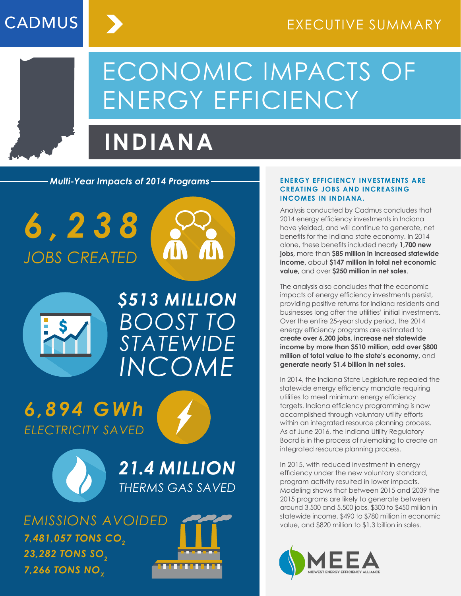# ECONOMIC IMPACTS OF ENERGY EFFICIENCY

## **INDIANA**

*Multi-Year Impacts of 2014 Programs* **ENERGY EFFICIENCY INVESTMENTS ARE** 

*6 , 2 3 8 JOBS CREATED*

**CADMUS** 





*BOOST TO STATEWIDE INCOME \$513 MILLION*

*6,894 GWh ELECTRICITY SAVED*





*21.4 MILLION THERMS GAS SAVED*

*EMISSIONS AVOIDED* **23,282 TONS SO<sub>2</sub>** *7,481,057 TONS CO2* **7,266 TONS NO<sub>v</sub>** 



#### **CREATING JOBS AND INCREASING INCOMES IN INDIANA.**

Analysis conducted by Cadmus concludes that 2014 energy efficiency investments in Indiana have yielded, and will continue to generate, net benefits for the Indiana state economy. In 2014 alone, these benefits included nearly **1,700 new jobs**, more than **\$85 million in increased statewide income,** about **\$147 million in total net economic value,** and over **\$250 million in net sales**.

The analysis also concludes that the economic impacts of energy efficiency investments persist, providing positive returns for Indiana residents and businesses long after the utilities' initial investments. Over the entire 25-year study period, the 2014 energy efficiency programs are estimated to **create over 6,200 jobs, increase net statewide income by more than \$510 million, add over \$800 million of total value to the state's economy,** and **generate nearly \$1.4 billion in net sales.**

In 2014, the Indiana State Legislature repealed the statewide energy efficiency mandate requiring utilities to meet minimum energy efficiency targets. Indiana efficiency programming is now accomplished through voluntary utility efforts within an integrated resource planning process. As of June 2016, the Indiana Utility Regulatory Board is in the process of rulemaking to create an integrated resource planning process.

In 2015, with reduced investment in energy efficiency under the new voluntary standard, program activity resulted in lower impacts. Modeling shows that between 2015 and 2039 the 2015 programs are likely to generate between around 3,500 and 5,500 jobs, \$300 to \$450 million in statewide income, \$490 to \$780 million in economic value, and \$820 million to \$1.3 billion in sales.